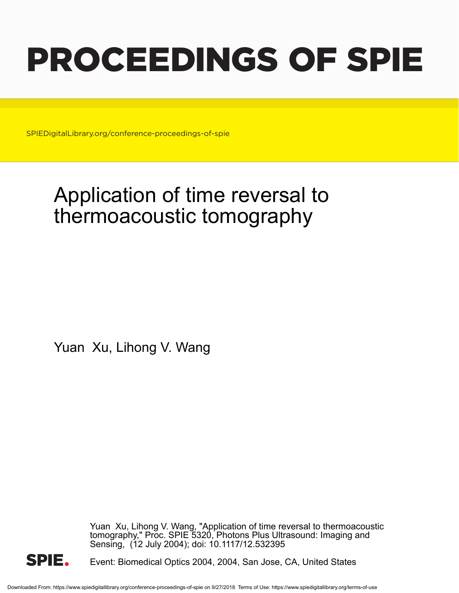# PROCEEDINGS OF SPIE

SPIEDigitalLibrary.org/conference-proceedings-of-spie

## Application of time reversal to thermoacoustic tomography

Yuan Xu, Lihong V. Wang

Yuan Xu, Lihong V. Wang, "Application of time reversal to thermoacoustic tomography," Proc. SPIE 5320, Photons Plus Ultrasound: Imaging and Sensing, (12 July 2004); doi: 10.1117/12.532395



Event: Biomedical Optics 2004, 2004, San Jose, CA, United States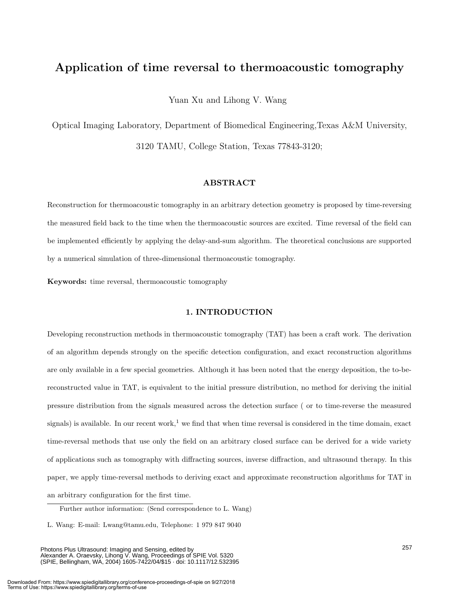### $\mathbf{A}$

Yuan Xu and Lihong V. Wang

Optical Imaging Laboratory, Department of Biomedical Engineering,Texas A&M University, 3120 TAMU, College Station, Texas 77843-3120;

#### **ABSTRACT**

Reconstruction for thermoacoustic tomography in an arbitrary detection geometry is proposed by time-reversing the measured field back to the time when the thermoacoustic sources are excited. Time reversal of the field can be implemented efficiently by applying the delay-and-sum algorithm. The theoretical conclusions are supported by a numerical simulation of three-dimensional thermoacoustic tomography.

**Keywords:** time reversal, thermoacoustic tomography

#### **1. INTRODUCTION**

Developing reconstruction methods in thermoacoustic tomography (TAT) has been a craft work. The derivation of an algorithm depends strongly on the specific detection configuration, and exact reconstruction algorithms are only available in a few special geometries. Although it has been noted that the energy deposition, the to-bereconstructed value in TAT, is equivalent to the initial pressure distribution, no method for deriving the initial pressure distribution from the signals measured across the detection surface ( or to time-reverse the measured signals) is available. In our recent work,<sup>1</sup> we find that when time reversal is considered in the time domain, exact time-reversal methods that use only the field on an arbitrary closed surface can be derived for a wide variety of applications such as tomography with diffracting sources, inverse diffraction, and ultrasound therapy. In this paper, we apply time-reversal methods to deriving exact and approximate reconstruction algorithms for TAT in an arbitrary configuration for the first time.

Photons Plus Ultrasound: Imaging and Sensing, edited by Alexander A. Oraevsky, Lihong V. Wang, Proceedings of SPIE Vol. 5320 (SPIE, Bellingham, WA, 2004) 1605-7422/04/\$15 · doi: 10.1117/12.532395

Further author information: (Send correspondence to L. Wang)

L. Wang: E-mail: Lwang@tamu.edu, Telephone: 1 979 847 9040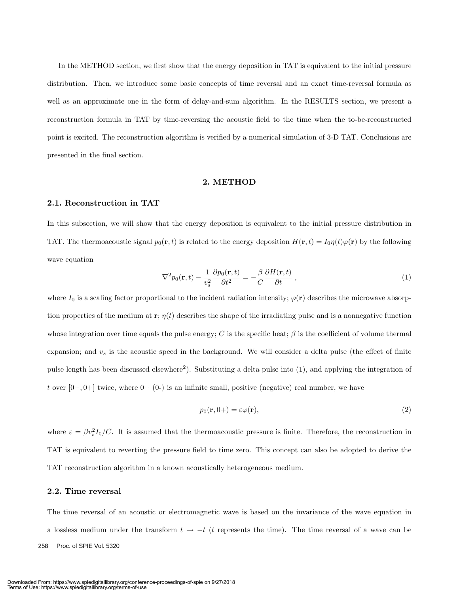In the METHOD section, we first show that the energy deposition in TAT is equivalent to the initial pressure distribution. Then, we introduce some basic concepts of time reversal and an exact time-reversal formula as well as an approximate one in the form of delay-and-sum algorithm. In the RESULTS section, we present a reconstruction formula in TAT by time-reversing the acoustic field to the time when the to-be-reconstructed point is excited. The reconstruction algorithm is verified by a numerical simulation of 3-D TAT. Conclusions are presented in the final section.

#### **2. METHOD**

#### **2.1. Reconstruction in TAT**

In this subsection, we will show that the energy deposition is equivalent to the initial pressure distribution in TAT. The thermoacoustic signal  $p_0(\mathbf{r}, t)$  is related to the energy deposition  $H(\mathbf{r}, t) = I_0 \eta(t) \varphi(\mathbf{r})$  by the following wave equation

$$
\nabla^2 p_0(\mathbf{r}, t) - \frac{1}{v_s^2} \frac{\partial p_0(\mathbf{r}, t)}{\partial t^2} = -\frac{\beta}{C} \frac{\partial H(\mathbf{r}, t)}{\partial t} , \qquad (1)
$$

where  $I_0$  is a scaling factor proportional to the incident radiation intensity;  $\varphi(\mathbf{r})$  describes the microwave absorption properties of the medium at **r**;  $\eta(t)$  describes the shape of the irradiating pulse and is a nonnegative function whose integration over time equals the pulse energy; C is the specific heat;  $\beta$  is the coefficient of volume thermal expansion; and v*<sup>s</sup>* is the acoustic speed in the background. We will consider a delta pulse (the effect of finite pulse length has been discussed elsewhere<sup>2</sup>). Substituting a delta pulse into  $(1)$ , and applying the integration of t over  $[0-,0+]$  twice, where  $[0,0+0]$  is an infinite small, positive (negative) real number, we have

$$
p_0(\mathbf{r}, 0+) = \varepsilon \varphi(\mathbf{r}),\tag{2}
$$

where  $\varepsilon = \beta v_s^2 I_0/C$ . It is assumed that the thermoacoustic pressure is finite. Therefore, the reconstruction in TAT is equivalent to reverting the pressure field to time zero. This concept can also be adopted to derive the TAT reconstruction algorithm in a known acoustically heterogeneous medium.

#### **2.2. Time reversal**

The time reversal of an acoustic or electromagnetic wave is based on the invariance of the wave equation in a lossless medium under the transform  $t \to -t$  (t represents the time). The time reversal of a wave can be 258 Proc. of SPIE Vol. 5320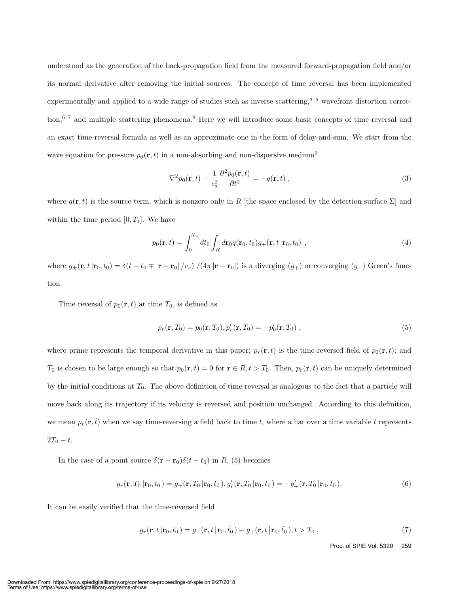understood as the generation of the back-propagation field from the measured forward-propagation field and/or its normal derivative after removing the initial sources. The concept of time reversal has been implemented experimentally and applied to a wide range of studies such as inverse scattering, $3-5$  wavefront distortion correction,<sup>6,7</sup> and multiple scattering phenomena.<sup>8</sup> Here we will introduce some basic concepts of time reversal and an exact time-reversal formula as well as an approximate one in the form of delay-and-sum. We start from the wave equation for pressure  $p_0(\mathbf{r}, t)$  in a non-absorbing and non-dispersive medium<sup>9</sup>

$$
\nabla^2 p_0(\mathbf{r}, t) - \frac{1}{v_s^2} \frac{\partial^2 p_0(\mathbf{r}, t)}{\partial t^2} = -q(\mathbf{r}, t) ,
$$
\n(3)

where  $q(\mathbf{r}, t)$  is the source term, which is nonzero only in R [the space enclosed by the detection surface  $\Sigma$ ] and within the time period  $[0, T_s]$ . We have

$$
p_0(\mathbf{r},t) = \int_0^{T_s} dt_0 \int_R d\mathbf{r}_0 q(\mathbf{r}_0,t_0) g_+(\mathbf{r},t\,|\mathbf{r}_0,t_0) ,
$$
 (4)

where  $g_{\pm}(\mathbf{r}, t|\mathbf{r}_0, t_0) = \delta(t - t_0 + |\mathbf{r} - \mathbf{r}_0|/v_s) / (4\pi |\mathbf{r} - \mathbf{r}_0|)$  is a diverging  $(g_{+})$  or converging  $(g_{-})$  Green's function.

Time reversal of  $p_0(\mathbf{r}, t)$  at time  $T_0$ , is defined as

$$
p_r(\mathbf{r}, T_0) = p_0(\mathbf{r}, T_0), p'_r(\mathbf{r}, T_0) = -p'_0(\mathbf{r}, T_0) ,
$$
\n(5)

where prime represents the temporal derivative in this paper;  $p_r(\mathbf{r}, t)$  is the time-reversed field of  $p_0(\mathbf{r}, t)$ ; and T<sub>0</sub> is chosen to be large enough so that  $p_0(\mathbf{r}, t) = 0$  for  $\mathbf{r} \in R, t > T_0$ . Then,  $p_r(\mathbf{r}, t)$  can be uniquely determined by the initial conditions at  $T_0$ . The above definition of time reversal is analogous to the fact that a particle will move back along its trajectory if its velocity is reversed and position unchanged. According to this definition, we mean  $p_r(\mathbf{r},\hat{t})$  when we say time-reversing a field back to time t, where a hat over a time variable t represents  $2T_0 - t.$ 

In the case of a point source  $\delta(\mathbf{r} - \mathbf{r}_0)\delta(t - t_0)$  in R, (5) becomes

$$
g_r(\mathbf{r}, T_0 | \mathbf{r}_0, t_0) = g_+(\mathbf{r}, T_0 | \mathbf{r}_0, t_0), g'_r(\mathbf{r}, T_0 | \mathbf{r}_0, t_0) = -g'_+(\mathbf{r}, T_0 | \mathbf{r}_0, t_0).
$$
(6)

It can be easily verified that the time-reversed field

$$
g_r(\mathbf{r}, t \,|\mathbf{r}_0, t_0) = g_-(\mathbf{r}, t \,|\mathbf{r}_0, \hat{t_0}) - g_+(\mathbf{r}, t \,|\mathbf{r}_0, \hat{t_0}), t > T_0 \,, \tag{7}
$$

Proc. of SPIE Vol. 5320 259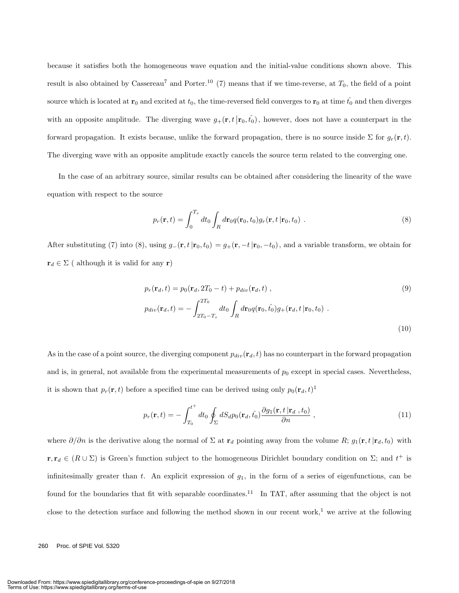because it satisfies both the homogeneous wave equation and the initial-value conditions shown above. This result is also obtained by Cassereau<sup>7</sup> and Porter.<sup>10</sup> (7) means that if we time-reverse, at  $T_0$ , the field of a point source which is located at  $\mathbf{r}_0$  and excited at  $t_0$ , the time-reversed field converges to  $\mathbf{r}_0$  at time  $\hat{t_0}$  and then diverges with an opposite amplitude. The diverging wave  $g_+(\mathbf{r}, t \,|\mathbf{r}_0, \hat{t}_0)$ , however, does not have a counterpart in the forward propagation. It exists because, unlike the forward propagation, there is no source inside  $\Sigma$  for  $g_r(\mathbf{r}, t)$ . The diverging wave with an opposite amplitude exactly cancels the source term related to the converging one.

In the case of an arbitrary source, similar results can be obtained after considering the linearity of the wave equation with respect to the source

$$
p_r(\mathbf{r},t) = \int_0^{T_s} dt_0 \int_R d\mathbf{r}_0 q(\mathbf{r}_0,t_0) g_r(\mathbf{r},t\,|\mathbf{r}_0,t_0) . \tag{8}
$$

After substituting (7) into (8), using  $g_-(\mathbf{r}, t|\mathbf{r}_0, t_0) = g_+(\mathbf{r}, -t|\mathbf{r}_0, -t_0)$ , and a variable transform, we obtain for  $\mathbf{r}_d \in \Sigma$  ( although it is valid for any **r**)

$$
p_r(\mathbf{r}_d, t) = p_0(\mathbf{r}_d, 2T_0 - t) + p_{div}(\mathbf{r}_d, t) ,
$$
\n
$$
p_{div}(\mathbf{r}_d, t) = -\int_{2T_0 - T_s}^{2T_0} dt_0 \int_R d\mathbf{r}_0 q(\mathbf{r}_0, \hat{t}_0) g_+(\mathbf{r}_d, t | \mathbf{r}_0, t_0) .
$$
\n(10)

As in the case of a point source, the diverging component  $p_{div}(\mathbf{r}_d, t)$  has no counterpart in the forward propagation and is, in general, not available from the experimental measurements of  $p_0$  except in special cases. Nevertheless, it is shown that  $p_r(\mathbf{r}, t)$  before a specified time can be derived using only  $p_0(\mathbf{r}_d, t)^1$ 

$$
p_r(\mathbf{r},t) = -\int_{T_0}^{t^+} dt_0 \oint_{\Sigma} dS_d p_0(\mathbf{r}_d, \hat{t}_0) \frac{\partial g_1(\mathbf{r},t \mid \mathbf{r}_d, t_0)}{\partial n}, \qquad (11)
$$

where  $\partial/\partial n$  is the derivative along the normal of  $\Sigma$  at  $\mathbf{r}_d$  pointing away from the volume R;  $g_1(\mathbf{r}, t|\mathbf{r}_d, t_0)$  with  $\mathbf{r}, \mathbf{r}_d \in (R \cup \Sigma)$  is Green's function subject to the homogeneous Dirichlet boundary condition on  $\Sigma$ ; and  $t^+$  is infinitesimally greater than  $t$ . An explicit expression of  $g_1$ , in the form of a series of eigenfunctions, can be found for the boundaries that fit with separable coordinates.<sup>11</sup> In TAT, after assuming that the object is not close to the detection surface and following the method shown in our recent work,<sup>1</sup> we arrive at the following

#### 260 Proc. of SPIE Vol. 5320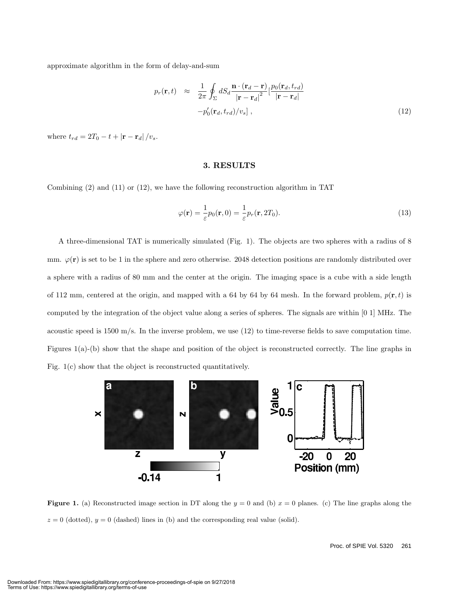approximate algorithm in the form of delay-and-sum

$$
p_r(\mathbf{r},t) \approx \frac{1}{2\pi} \oint_{\Sigma} dS_d \frac{\mathbf{n} \cdot (\mathbf{r}_d - \mathbf{r})}{|\mathbf{r} - \mathbf{r}_d|^2} \left[ \frac{p_0(\mathbf{r}_d, t_{rd})}{|\mathbf{r} - \mathbf{r}_d|} - p_0'(\mathbf{r}_d, t_{rd})/v_s \right],
$$
\n(12)

where  $t_{rd} = 2T_0 - t + |\mathbf{r} - \mathbf{r}_d|/v_s$ .

#### **3. RESULTS**

Combining (2) and (11) or (12), we have the following reconstruction algorithm in TAT

$$
\varphi(\mathbf{r}) = \frac{1}{\varepsilon} p_0(\mathbf{r}, 0) = \frac{1}{\varepsilon} p_r(\mathbf{r}, 2T_0).
$$
\n(13)

A three-dimensional TAT is numerically simulated (Fig. 1). The objects are two spheres with a radius of 8 mm.  $\varphi(\mathbf{r})$  is set to be 1 in the sphere and zero otherwise. 2048 detection positions are randomly distributed over a sphere with a radius of 80 mm and the center at the origin. The imaging space is a cube with a side length of 112 mm, centered at the origin, and mapped with a 64 by 64 by 64 mesh. In the forward problem,  $p(\mathbf{r},t)$  is computed by the integration of the object value along a series of spheres. The signals are within [0 1] MHz. The acoustic speed is 1500 m/s. In the inverse problem, we use  $(12)$  to time-reverse fields to save computation time. Figures 1(a)-(b) show that the shape and position of the object is reconstructed correctly. The line graphs in Fig. 1(c) show that the object is reconstructed quantitatively.



**Figure 1.** (a) Reconstructed image section in DT along the  $y = 0$  and (b)  $x = 0$  planes. (c) The line graphs along the  $z = 0$  (dotted),  $y = 0$  (dashed) lines in (b) and the corresponding real value (solid).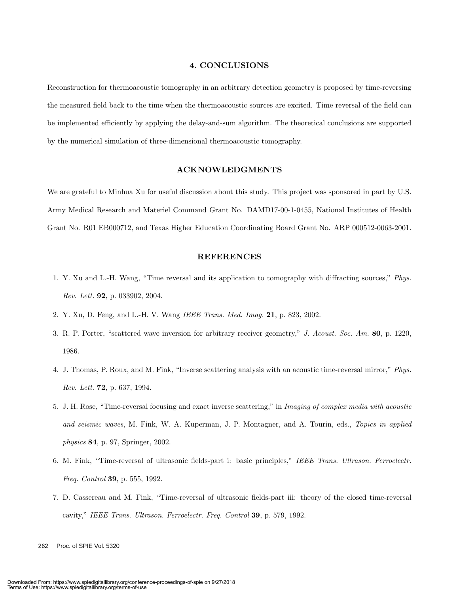#### **4. CONCLUSIONS**

Reconstruction for thermoacoustic tomography in an arbitrary detection geometry is proposed by time-reversing the measured field back to the time when the thermoacoustic sources are excited. Time reversal of the field can be implemented efficiently by applying the delay-and-sum algorithm. The theoretical conclusions are supported by the numerical simulation of three-dimensional thermoacoustic tomography.

#### **ACKNOWLEDGMENTS**

We are grateful to Minhua Xu for useful discussion about this study. This project was sponsored in part by U.S. Army Medical Research and Materiel Command Grant No. DAMD17-00-1-0455, National Institutes of Health Grant No. R01 EB000712, and Texas Higher Education Coordinating Board Grant No. ARP 000512-0063-2001.

#### **REFERENCES**

- 1. Y. Xu and L.-H. Wang, "Time reversal and its application to tomography with diffracting sources," *Phys. Rev. Lett.* **92**, p. 033902, 2004.
- 2. Y. Xu, D. Feng, and L.-H. V. Wang *IEEE Trans. Med. Imag.* **21**, p. 823, 2002.
- 3. R. P. Porter, "scattered wave inversion for arbitrary receiver geometry," *J. Acoust. Soc. Am.* **80**, p. 1220, 1986.
- 4. J. Thomas, P. Roux, and M. Fink, "Inverse scattering analysis with an acoustic time-reversal mirror," *Phys. Rev. Lett.* **72**, p. 637, 1994.
- 5. J. H. Rose, "Time-reversal focusing and exact inverse scattering," in *Imaging of complex media with acoustic and seismic waves*, M. Fink, W. A. Kuperman, J. P. Montagner, and A. Tourin, eds., *Topics in applied physics* **84**, p. 97, Springer, 2002.
- 6. M. Fink, "Time-reversal of ultrasonic fields-part i: basic principles," *IEEE Trans. Ultrason. Ferroelectr. Freq. Control* **39**, p. 555, 1992.
- 7. D. Cassereau and M. Fink, "Time-reversal of ultrasonic fields-part iii: theory of the closed time-reversal cavity," *IEEE Trans. Ultrason. Ferroelectr. Freq. Control* **39**, p. 579, 1992.

262 Proc. of SPIE Vol. 5320